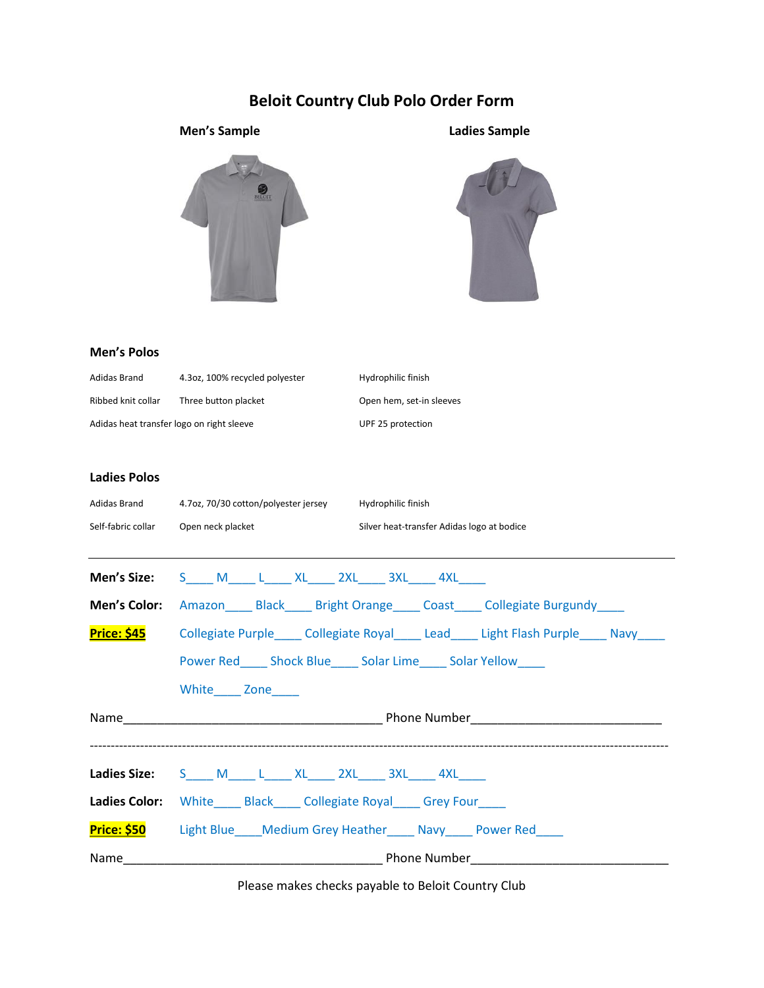## **Beloit Country Club Polo Order Form**

## **Men's Sample Ladies Sample**





#### **Men's Polos**

| Adidas Brand                              | 4.3oz, 100% recycled polyester | Hydrophilic finish       |
|-------------------------------------------|--------------------------------|--------------------------|
| Ribbed knit collar                        | Three button placket           | Open hem, set-in sleeves |
| Adidas heat transfer logo on right sleeve |                                | UPF 25 protection        |

#### **Ladies Polos**

| Self-fabric collar Open neck placket | Adidas Brand 4.7oz, 70/30 cotton/polyester jersey Hydrophilic finish<br>Silver heat-transfer Adidas logo at bodice |
|--------------------------------------|--------------------------------------------------------------------------------------------------------------------|
|                                      | <b>Men's Size:</b> $S_$ $M_$ $L_$ $XL_$ $2XL_$ $3XL_$ $4XL_$                                                       |
|                                      | <b>Men's Color:</b> Amazon Black Bright Orange Coast Collegiate Burgundy                                           |
|                                      | Price: \$45 Collegiate Purple_____ Collegiate Royal_____ Lead_____ Light Flash Purple_____ Navy_____               |
|                                      | Power Red Shock Blue Solar Lime Solar Yellow                                                                       |
|                                      | White Zone                                                                                                         |
|                                      |                                                                                                                    |
|                                      | Ladies Size: S____ M_____ L____ XL_____ 2XL_____ 3XL_____ 4XL____                                                  |
|                                      | <b>Ladies Color:</b> White Black Collegiate Royal Grey Four                                                        |
|                                      | <b>Price: \$50</b> Light Blue Medium Grey Heather Navy Power Red                                                   |
|                                      |                                                                                                                    |

Please makes checks payable to Beloit Country Club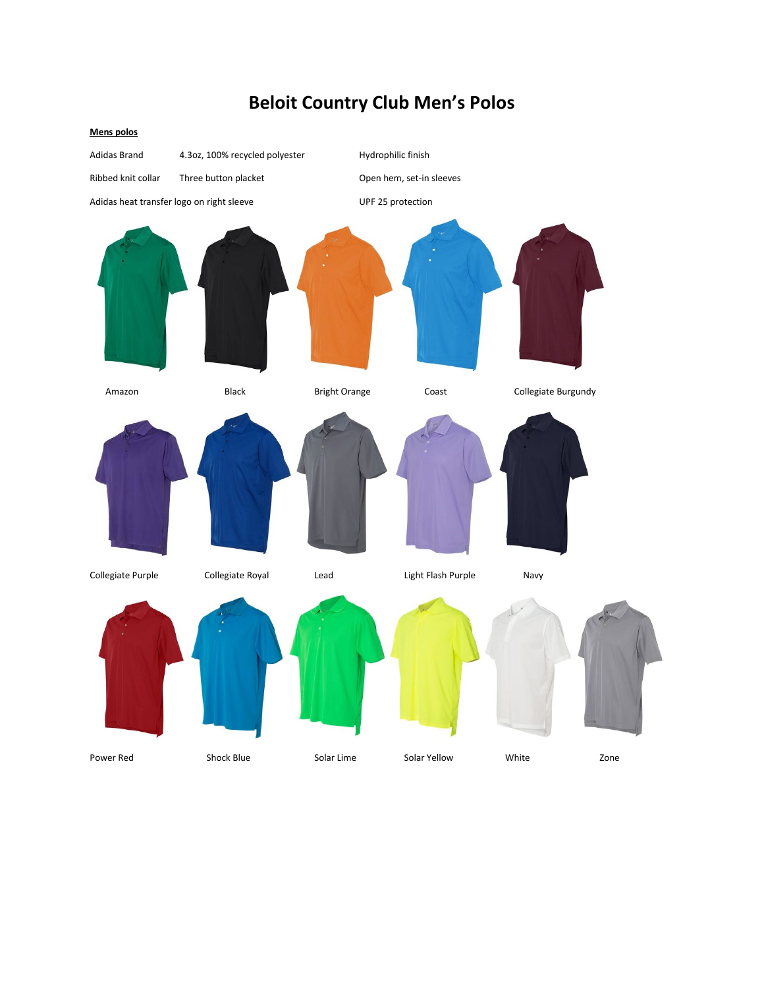# **Beloit Country Club Men's Polos**

#### **Mens polos**